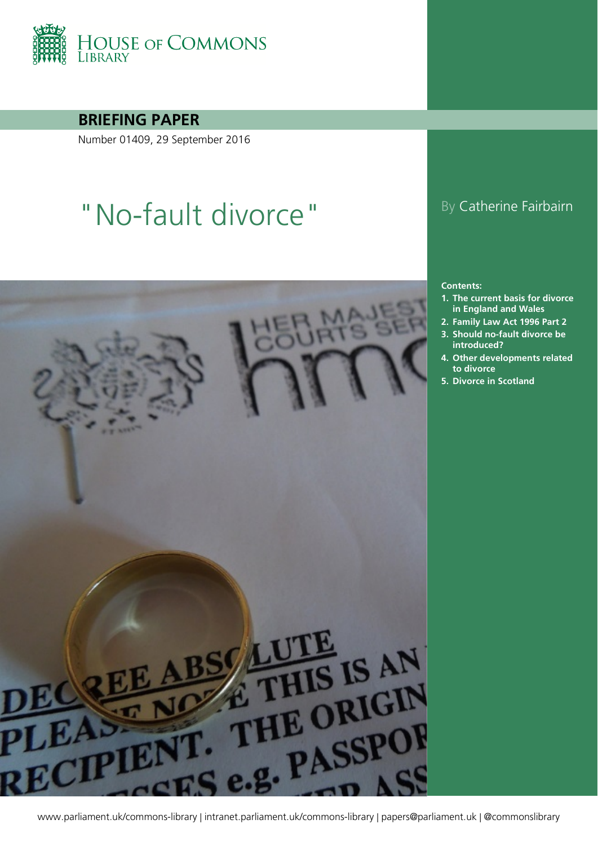

**BRIEFING PAPER**

Number 01409, 29 September 2016

# "No-fault divorce" By Catherine Fairbairn



#### **Contents:**

- **1. [The current basis for divorce](#page-3-0)  [in England and Wales](#page-3-0)**
- **2. [Family Law Act 1996 Part 2](#page-5-0)**
- **3. [Should no-fault divorce be](#page-8-0)  [introduced?](#page-8-0)**
- **4. [Other developments related](#page-15-0)  [to divorce](#page-15-0)**
- **5. [Divorce in](#page-18-0) Scotland**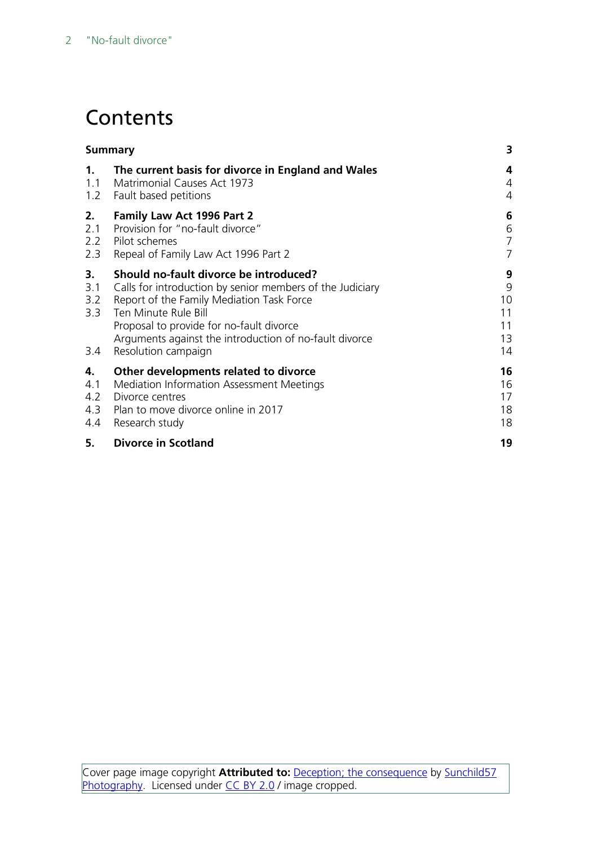## **Contents**

|                                | <b>Summary</b>                                                                                                                                                                                                                                                                                        |                                      |  |
|--------------------------------|-------------------------------------------------------------------------------------------------------------------------------------------------------------------------------------------------------------------------------------------------------------------------------------------------------|--------------------------------------|--|
| 1.                             | The current basis for divorce in England and Wales                                                                                                                                                                                                                                                    | 4                                    |  |
| 1.1                            | <b>Matrimonial Causes Act 1973</b>                                                                                                                                                                                                                                                                    | $\overline{4}$                       |  |
| 1.2                            | Fault based petitions                                                                                                                                                                                                                                                                                 | 4                                    |  |
| 2.                             | <b>Family Law Act 1996 Part 2</b>                                                                                                                                                                                                                                                                     | 6                                    |  |
| 2.1                            | Provision for "no-fault divorce"                                                                                                                                                                                                                                                                      | 6                                    |  |
| 2.2                            | Pilot schemes                                                                                                                                                                                                                                                                                         | $\overline{7}$                       |  |
| 2.3                            | Repeal of Family Law Act 1996 Part 2                                                                                                                                                                                                                                                                  | $\overline{7}$                       |  |
| 3.<br>3.1<br>3.2<br>3.3<br>3.4 | Should no-fault divorce be introduced?<br>Calls for introduction by senior members of the Judiciary<br>Report of the Family Mediation Task Force<br>Ten Minute Rule Bill<br>Proposal to provide for no-fault divorce<br>Arguments against the introduction of no-fault divorce<br>Resolution campaign | 9<br>9<br>10<br>11<br>11<br>13<br>14 |  |
| 4.                             | Other developments related to divorce                                                                                                                                                                                                                                                                 | 16                                   |  |
| 4.1                            | Mediation Information Assessment Meetings                                                                                                                                                                                                                                                             | 16                                   |  |
| 4.2                            | Divorce centres                                                                                                                                                                                                                                                                                       | 17                                   |  |
| 4.3                            | Plan to move divorce online in 2017                                                                                                                                                                                                                                                                   | 18                                   |  |
| 4.4                            | Research study                                                                                                                                                                                                                                                                                        | 18                                   |  |
| 5.                             | <b>Divorce in Scotland</b>                                                                                                                                                                                                                                                                            | 19                                   |  |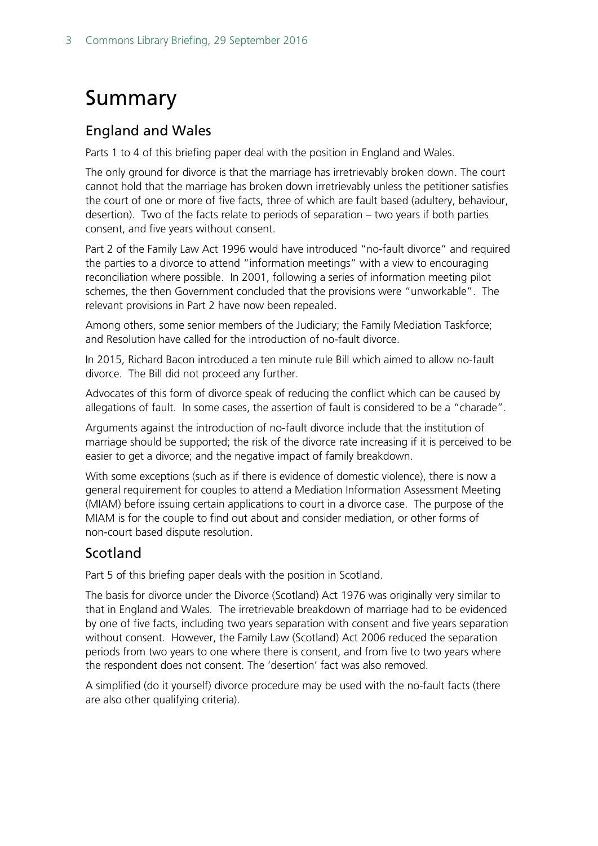## <span id="page-2-0"></span>Summary

#### England and Wales

Parts 1 to 4 of this briefing paper deal with the position in England and Wales.

The only ground for divorce is that the marriage has irretrievably broken down. The court cannot hold that the marriage has broken down irretrievably unless the petitioner satisfies the court of one or more of five facts, three of which are fault based (adultery, behaviour, desertion). Two of the facts relate to periods of separation – two years if both parties consent, and five years without consent.

Part 2 of the Family Law Act 1996 would have introduced "no-fault divorce" and required the parties to a divorce to attend "information meetings" with a view to encouraging reconciliation where possible. In 2001, following a series of information meeting pilot schemes, the then Government concluded that the provisions were "unworkable". The relevant provisions in Part 2 have now been repealed.

Among others, some senior members of the Judiciary; the Family Mediation Taskforce; and Resolution have called for the introduction of no-fault divorce.

In 2015, Richard Bacon introduced a ten minute rule Bill which aimed to allow no-fault divorce. The Bill did not proceed any further.

Advocates of this form of divorce speak of reducing the conflict which can be caused by allegations of fault. In some cases, the assertion of fault is considered to be a "charade".

Arguments against the introduction of no-fault divorce include that the institution of marriage should be supported; the risk of the divorce rate increasing if it is perceived to be easier to get a divorce; and the negative impact of family breakdown.

With some exceptions (such as if there is evidence of domestic violence), there is now a general requirement for couples to attend a Mediation Information Assessment Meeting (MIAM) before issuing certain applications to court in a divorce case. The purpose of the MIAM is for the couple to find out about and consider mediation, or other forms of non-court based dispute resolution.

#### Scotland

Part 5 of this briefing paper deals with the position in Scotland.

The basis for divorce under the Divorce (Scotland) Act 1976 was originally very similar to that in England and Wales. The irretrievable breakdown of marriage had to be evidenced by one of five facts, including two years separation with consent and five years separation without consent. However, the Family Law [\(Scotland\)](http://www.legislation.gov.uk/asp/2006/2/crossheading/divorce) Act 2006 reduced the separation periods from two years to one where there is consent, and from five to two years where the respondent does not consent. The 'desertion' fact was also removed.

A simplified (do it yourself) divorce procedure may be used with the no-fault facts (there are also other qualifying criteria).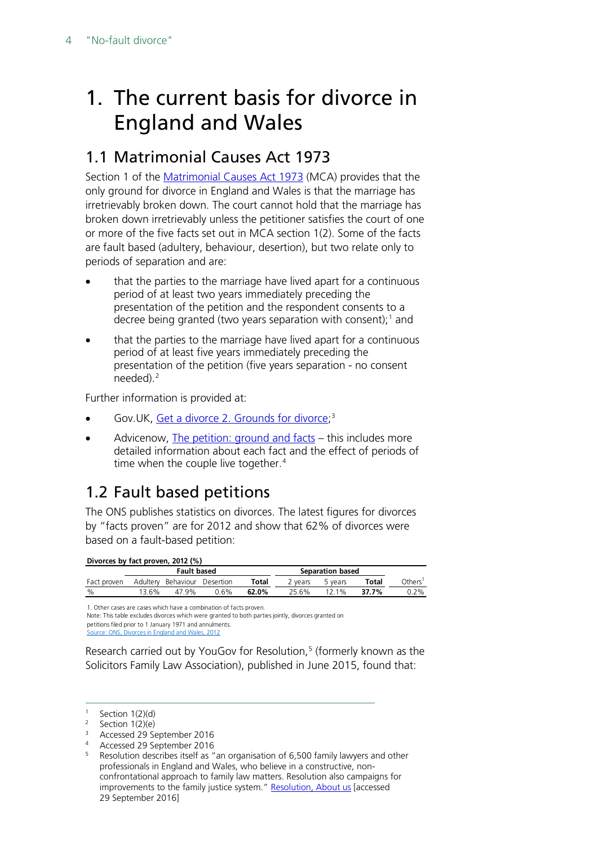## <span id="page-3-0"></span>1. The current basis for divorce in England and Wales

### <span id="page-3-1"></span>1.1 Matrimonial Causes Act 1973

Section 1 of the [Matrimonial Causes Act 1973](http://www.legislation.gov.uk/ukpga/1973/18) (MCA) provides that the only ground for divorce in England and Wales is that the marriage has irretrievably broken down. The court cannot hold that the marriage has broken down irretrievably unless the petitioner satisfies the court of one or more of the five facts set out in MCA section 1(2). Some of the facts are fault based (adultery, behaviour, desertion), but two relate only to periods of separation and are:

- that the parties to the marriage have lived apart for a continuous period of at least two years immediately preceding the presentation of the petition and the respondent consents to a decree being granted (two years separation with consent);<sup>[1](#page-3-3)</sup> and
- that the parties to the marriage have lived apart for a continuous period of at least five years immediately preceding the presentation of the petition (five years separation - no consent needed). [2](#page-3-4)

Further information is provided at:

- Gov.UK, <u>Get a divorce 2. Grounds for divorce</u>;<sup>[3](#page-3-5)</sup>
- Advicenow, [The petition: ground and facts](http://www.advicenow.org.uk/articles/petition-ground-and-facts) this includes more detailed information about each fact and the effect of periods of time when the couple live together.<sup>[4](#page-3-6)</sup>

## <span id="page-3-2"></span>1.2 Fault based petitions

The ONS publishes statistics on divorces. The latest figures for divorces by "facts proven" are for 2012 and show that 62% of divorces were based on a fault-based petition:

#### **Divorces by fact proven, 2012 (%)**

|             | <b>Fault based</b> |           |           |       | Separation based |          |       |        |
|-------------|--------------------|-----------|-----------|-------|------------------|----------|-------|--------|
| Fact proven | Adulterv           | Behaviour | Desertion | Total | vears            | 5 years  | Total | Others |
| $\%$        | 13.6%              | 47.9%     | 0.6%      | 62.0% | 25.6%            | $12.1\%$ | 37.7% | 0.2%   |

1. Other cases are cases which have a combination of facts proven.

Note: This table excludes divorces which were granted to both parties jointly, divorces granted on petitions filed prior to 1 January 1971 and annulments.

Source: ONS, Divorces in England and Wales, 2012

Research carried out by YouGov for Resolution, [5](#page-3-7) (formerly known as the Solicitors Family Law Association), published in June 2015, found that:

<span id="page-3-3"></span> $1$  Section 1(2)(d)

<span id="page-3-4"></span> $2$  Section 1(2)(e)

<span id="page-3-6"></span><span id="page-3-5"></span><sup>3</sup> Accessed 29 September 2016

<sup>4</sup> Accessed 29 September 2016

<span id="page-3-7"></span><sup>&</sup>lt;sup>5</sup> Resolution describes itself as "an organisation of 6,500 family lawyers and other professionals in England and Wales, who believe in a constructive, nonconfrontational approach to family law matters. Resolution also campaigns for improvements to the family justice system.[" Resolution, About us](http://www.resolution.org.uk/about_us/) [accessed 29 September 2016]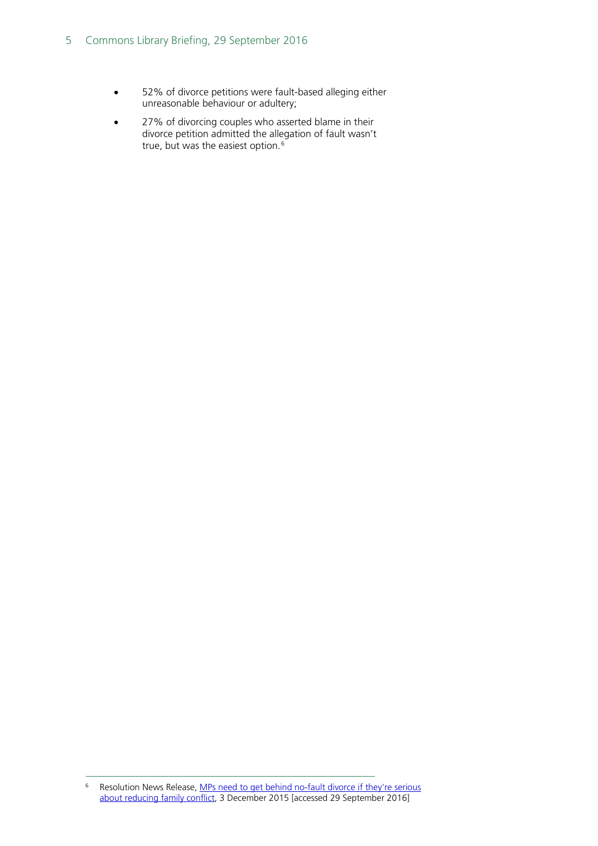- 52% of divorce petitions were fault-based alleging either unreasonable behaviour or adultery;
- 27% of divorcing couples who asserted blame in their divorce petition admitted the allegation of fault wasn't true, but was the easiest option.<sup>[6](#page-4-0)</sup>

<span id="page-4-0"></span> <sup>6</sup> Resolution News Release, [MPs need to get behind no-fault divorce if they're serious](http://www.resolution.org.uk/news-list.asp?page_id=228&n_id=301)  [about reducing family conflict,](http://www.resolution.org.uk/news-list.asp?page_id=228&n_id=301) 3 December 2015 [accessed 29 September 2016]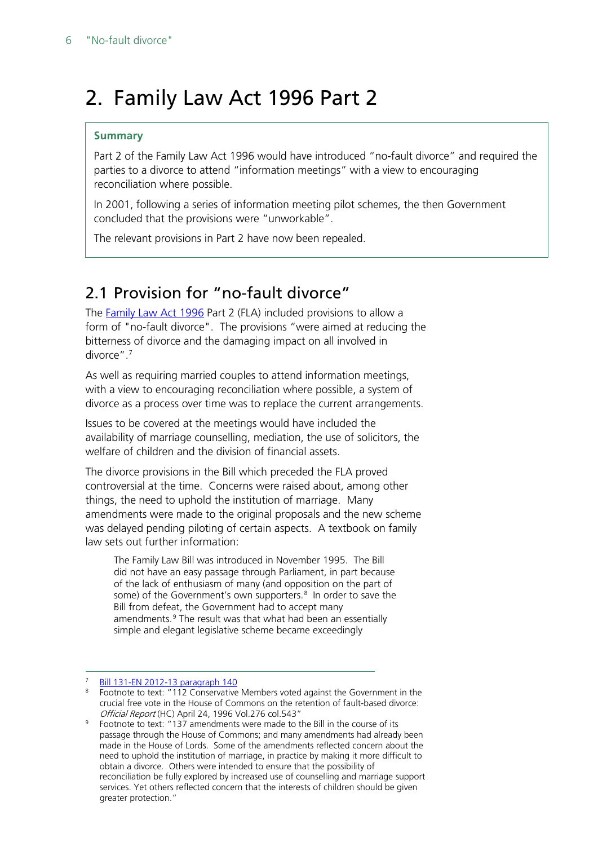## <span id="page-5-0"></span>2. Family Law Act 1996 Part 2

#### **Summary**

Part 2 of the Family Law Act 1996 would have introduced "no-fault divorce" and required the parties to a divorce to attend "information meetings" with a view to encouraging reconciliation where possible.

In 2001, following a series of information meeting pilot schemes, the then Government concluded that the provisions were "unworkable".

The relevant provisions in Part 2 have now been repealed.

### <span id="page-5-1"></span>2.1 Provision for "no-fault divorce"

The [Family Law Act 1996](http://www.legislation.gov.uk/ukpga/1996/27/contents) Part 2 (FLA) included provisions to allow a form of "no-fault divorce". The provisions "were aimed at reducing the bitterness of divorce and the damaging impact on all involved in divorce".[7](#page-5-2)

As well as requiring married couples to attend information meetings, with a view to encouraging reconciliation where possible, a system of divorce as a process over time was to replace the current arrangements.

Issues to be covered at the meetings would have included the availability of marriage counselling, mediation, the use of solicitors, the welfare of children and the division of financial assets.

The divorce provisions in the Bill which preceded the FLA proved controversial at the time. Concerns were raised about, among other things, the need to uphold the institution of marriage. Many amendments were made to the original proposals and the new scheme was delayed pending piloting of certain aspects. A textbook on family law sets out further information:

The Family Law Bill was introduced in November 1995. The Bill did not have an easy passage through Parliament, in part because of the lack of enthusiasm of many (and opposition on the part of some) of the Government's own supporters.<sup>[8](#page-5-3)</sup> In order to save the Bill from defeat, the Government had to accept many amendments.<sup>[9](#page-5-4)</sup> The result was that what had been an essentially simple and elegant legislative scheme became exceedingly

[Bill 131-EN 2012-13 paragraph 140](http://www.publications.parliament.uk/pa/bills/cbill/2012-2013/0131/en/2013131en.htm)

<span id="page-5-3"></span><span id="page-5-2"></span><sup>&</sup>lt;sup>8</sup> Footnote to text: "112 Conservative Members voted against the Government in the crucial free vote in the House of Commons on the retention of fault-based divorce: Official Report (HC) April 24, 1996 Vol.276 col.543"

<span id="page-5-4"></span><sup>9</sup> Footnote to text: "137 amendments were made to the Bill in the course of its passage through the House of Commons; and many amendments had already been made in the House of Lords. Some of the amendments reflected concern about the need to uphold the institution of marriage, in practice by making it more difficult to obtain a divorce. Others were intended to ensure that the possibility of reconciliation be fully explored by increased use of counselling and marriage support services. Yet others reflected concern that the interests of children should be given greater protection."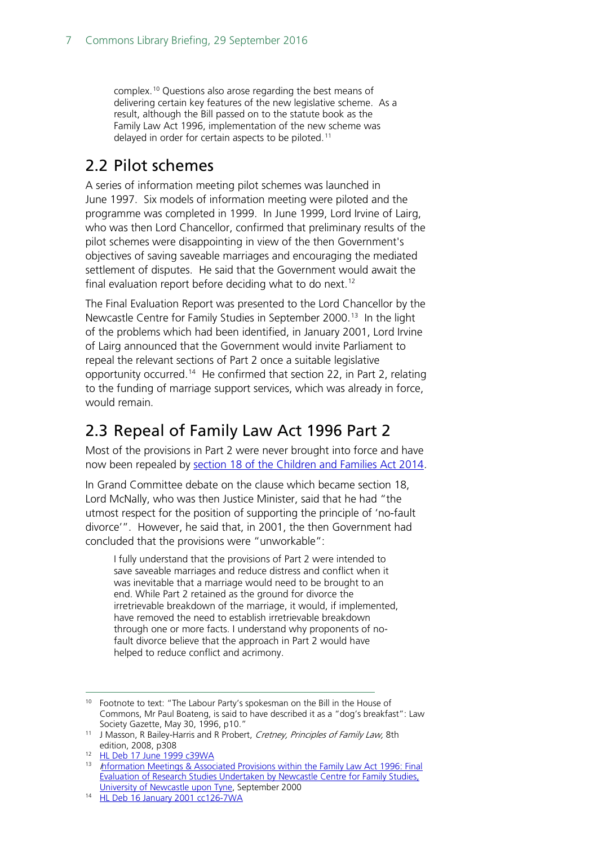complex.[10](#page-6-2) Questions also arose regarding the best means of delivering certain key features of the new legislative scheme. As a result, although the Bill passed on to the statute book as the Family Law Act 1996, implementation of the new scheme was delayed in order for certain aspects to be piloted.<sup>[11](#page-6-3)</sup>

#### <span id="page-6-0"></span>2.2 Pilot schemes

A series of information meeting pilot schemes was launched in June 1997. Six models of information meeting were piloted and the programme was completed in 1999. In June 1999, Lord Irvine of Lairg, who was then Lord Chancellor, confirmed that preliminary results of the pilot schemes were disappointing in view of the then Government's objectives of saving saveable marriages and encouraging the mediated settlement of disputes. He said that the Government would await the final evaluation report before deciding what to do next.<sup>12</sup>

The Final Evaluation Report was presented to the Lord Chancellor by the Newcastle Centre for Family Studies in September 2000.<sup>13</sup> In the light of the problems which had been identified, in January 2001, Lord Irvine of Lairg announced that the Government would invite Parliament to repeal the relevant sections of Part 2 once a suitable legislative opportunity occurred.<sup>14</sup> He confirmed that section 22, in Part 2, relating to the funding of marriage support services, which was already in force, would remain.

#### <span id="page-6-1"></span>2.3 Repeal of Family Law Act 1996 Part 2

Most of the provisions in Part 2 were never brought into force and have now been repealed by [section 18 of the Children and Families Act 2014](http://www.legislation.gov.uk/ukpga/2014/6/section/18/enacted).

In Grand Committee debate on the clause which became section 18, Lord McNally, who was then Justice Minister, said that he had "the utmost respect for the position of supporting the principle of 'no-fault divorce'". However, he said that, in 2001, the then Government had concluded that the provisions were "unworkable":

I fully understand that the provisions of Part 2 were intended to save saveable marriages and reduce distress and conflict when it was inevitable that a marriage would need to be brought to an end. While Part 2 retained as the ground for divorce the irretrievable breakdown of the marriage, it would, if implemented, have removed the need to establish irretrievable breakdown through one or more facts. I understand why proponents of nofault divorce believe that the approach in Part 2 would have helped to reduce conflict and acrimony.

<span id="page-6-2"></span><sup>&</sup>lt;sup>10</sup> Footnote to text: "The Labour Party's spokesman on the Bill in the House of Commons, Mr Paul Boateng, is said to have described it as a "dog's breakfast": Law Society Gazette, May 30, 1996, p10."

<span id="page-6-3"></span><sup>&</sup>lt;sup>11</sup> J Masson, R Bailey-Harris and R Probert, Cretney, Principles of Family Law, 8th edition, 2008, p308

<span id="page-6-4"></span><sup>12</sup> [HL Deb 17 June 1999 c39WA](http://www.publications.parliament.uk/pa/ld199899/ldhansrd/vo990617/text/90617w01.htm#90617w01_sbhd0)

<span id="page-6-5"></span><sup>13</sup> Information Meetings & Associated Provisions within the Family Law Act 1996: Final [Evaluation of Research Studies Undertaken by Newcastle Centre for Family Studies,](http://www.dca.gov.uk/family/fla/fullrep.htm)  [University of Newcastle upon Tyne,](http://www.dca.gov.uk/family/fla/fullrep.htm) September 2000

<span id="page-6-6"></span><sup>14</sup> [HL Deb 16 January 2001 cc126-7WA](http://www.publications.parliament.uk/pa/ld200001/ldhansrd/vo010116/text/10116w01.htm#10116w01_sbhd7)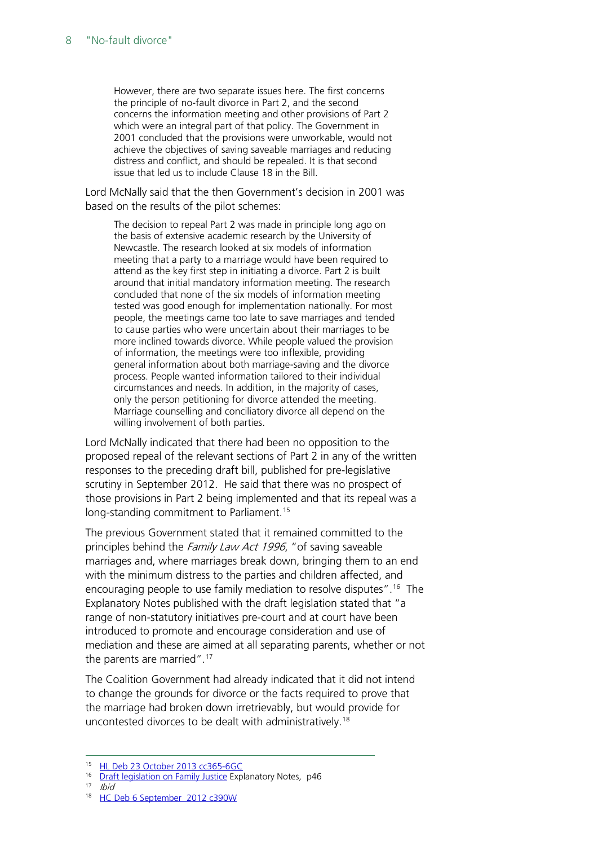However, there are two separate issues here. The first concerns the principle of no-fault divorce in Part 2, and the second concerns the information meeting and other provisions of Part 2 which were an integral part of that policy. The Government in 2001 concluded that the provisions were unworkable, would not achieve the objectives of saving saveable marriages and reducing distress and conflict, and should be repealed. It is that second issue that led us to include Clause 18 in the Bill.

Lord McNally said that the then Government's decision in 2001 was based on the results of the pilot schemes:

The decision to repeal Part 2 was made in principle long ago on the basis of extensive academic research by the University of Newcastle. The research looked at six models of information meeting that a party to a marriage would have been required to attend as the key first step in initiating a divorce. Part 2 is built around that initial mandatory information meeting. The research concluded that none of the six models of information meeting tested was good enough for implementation nationally. For most people, the meetings came too late to save marriages and tended to cause parties who were uncertain about their marriages to be more inclined towards divorce. While people valued the provision of information, the meetings were too inflexible, providing general information about both marriage-saving and the divorce process. People wanted information tailored to their individual circumstances and needs. In addition, in the majority of cases, only the person petitioning for divorce attended the meeting. Marriage counselling and conciliatory divorce all depend on the willing involvement of both parties.

Lord McNally indicated that there had been no opposition to the proposed repeal of the relevant sections of Part 2 in any of the written responses to the preceding draft bill, published for pre-legislative scrutiny in September 2012. He said that there was no prospect of those provisions in Part 2 being implemented and that its repeal was a long-standing commitment to Parliament.<sup>[15](#page-7-0)</sup>

The previous Government stated that it remained committed to the principles behind the Family Law Act 1996, "of saving saveable marriages and, where marriages break down, bringing them to an end with the minimum distress to the parties and children affected, and encouraging people to use family mediation to resolve disputes".<sup>16</sup> The Explanatory Notes published with the draft legislation stated that "a range of non-statutory initiatives pre-court and at court have been introduced to promote and encourage consideration and use of mediation and these are aimed at all separating parents, whether or not the parents are married".<sup>[17](#page-7-2)</sup>

The Coalition Government had already indicated that it did not intend to change the grounds for divorce or the facts required to prove that the marriage had broken down irretrievably, but would provide for uncontested divorces to be dealt with administratively.[18](#page-7-3)

<span id="page-7-3"></span><span id="page-7-2"></span><span id="page-7-1"></span>17 Ibid

 <sup>15</sup> [HL Deb 23 October 2013 cc365-6GC](http://www.publications.parliament.uk/pa/ld201314/ldhansrd/text/131023-gc0001.htm#13102369000029)

<span id="page-7-0"></span><sup>&</sup>lt;sup>16</sup> [Draft legislation on Family Justice](http://www.official-documents.gov.uk/document/cm84/8437/8437.pdf) Explanatory Notes, p46

<sup>&</sup>lt;sup>18</sup> [HC Deb 6 September 2012 c390W](http://www.publications.parliament.uk/pa/cm201213/cmhansrd/cm120906/text/120906w0001.htm#12090632000374)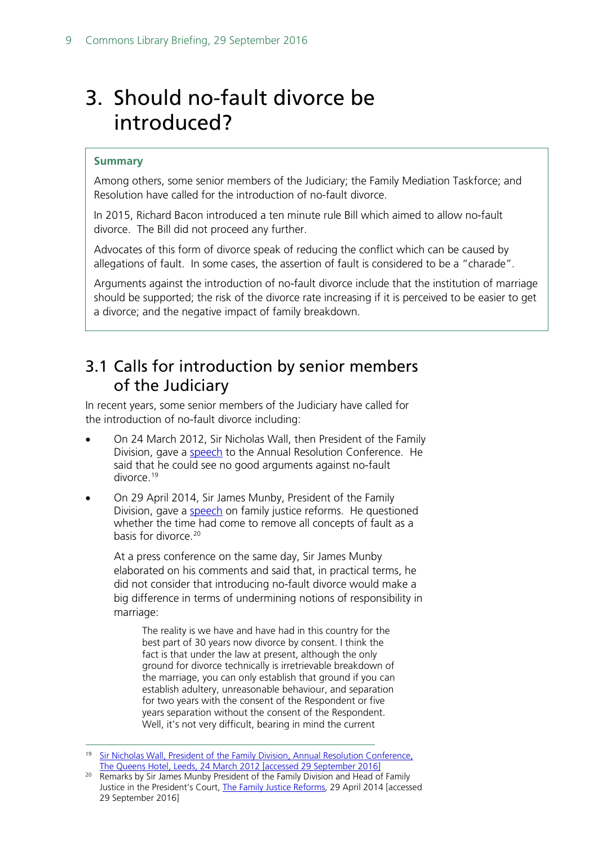## <span id="page-8-0"></span>3. Should no-fault divorce be introduced?

#### **Summary**

Among others, some senior members of the Judiciary; the Family Mediation Taskforce; and Resolution have called for the introduction of no-fault divorce.

In 2015, Richard Bacon introduced a ten minute rule Bill which aimed to allow no-fault divorce. The Bill did not proceed any further.

Advocates of this form of divorce speak of reducing the conflict which can be caused by allegations of fault. In some cases, the assertion of fault is considered to be a "charade".

Arguments against the introduction of no-fault divorce include that the institution of marriage should be supported; the risk of the divorce rate increasing if it is perceived to be easier to get a divorce; and the negative impact of family breakdown.

#### <span id="page-8-1"></span>3.1 Calls for introduction by senior members of the Judiciary

In recent years, some senior members of the Judiciary have called for the introduction of no-fault divorce including:

- On 24 March 2012, Sir Nicholas Wall, then President of the Family Division, gave a [speech](https://www.judiciary.gov.uk/wp-content/uploads/JCO/Documents/Speeches/pfd-speech-resolution-annual-conference-240312.pdf) to the Annual Resolution Conference. He said that he could see no good arguments against no-fault divorce. [19](#page-8-2)
- On 29 April 2014, Sir James Munby, President of the Family Division, gave a [speech](https://www.judiciary.gov.uk/wp-content/uploads/2014/05/family-justice-reforms-29042014.pdf) on family justice reforms. He questioned whether the time had come to remove all concepts of fault as a basis for divorce. [20](#page-8-3)

At a press conference on the same day, Sir James Munby elaborated on his comments and said that, in practical terms, he did not consider that introducing no-fault divorce would make a big difference in terms of undermining notions of responsibility in marriage:

The reality is we have and have had in this country for the best part of 30 years now divorce by consent. I think the fact is that under the law at present, although the only ground for divorce technically is irretrievable breakdown of the marriage, you can only establish that ground if you can establish adultery, unreasonable behaviour, and separation for two years with the consent of the Respondent or five years separation without the consent of the Respondent. Well, it's not very difficult, bearing in mind the current

<span id="page-8-2"></span><sup>&</sup>lt;sup>19</sup> Sir Nicholas Wall, President of the Family Division, Annual Resolution Conference, [The Queens Hotel, Leeds, 24 March 2012](https://www.judiciary.gov.uk/wp-content/uploads/JCO/Documents/Speeches/pfd-speech-resolution-annual-conference-240312.pdf) [accessed 29 September 2016]

<span id="page-8-3"></span><sup>&</sup>lt;sup>20</sup> Remarks by Sir James Munby President of the Family Division and Head of Family Justice in the President's Court, [The Family Justice Reforms](https://www.judiciary.gov.uk/wp-content/uploads/2014/05/family-justice-reforms-29042014.pdf), 29 April 2014 [accessed 29 September 2016]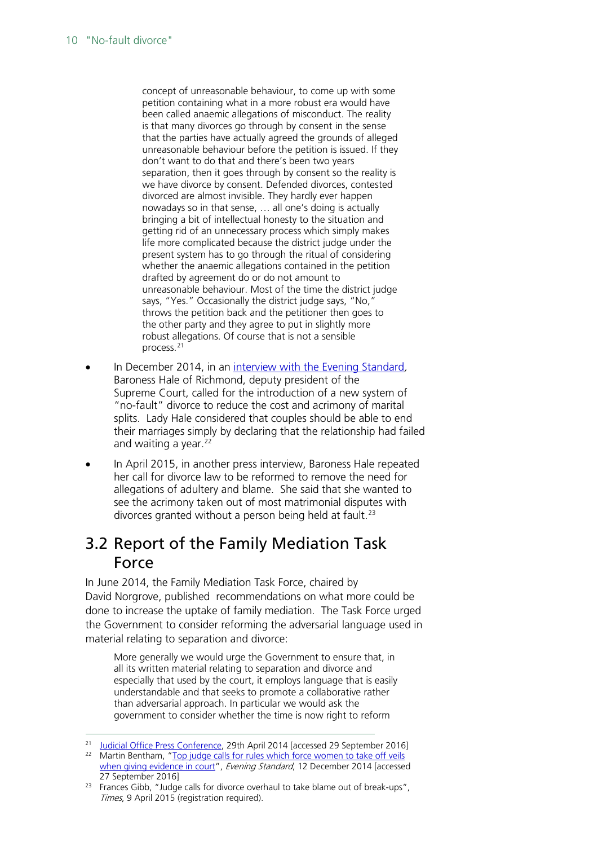concept of unreasonable behaviour, to come up with some petition containing what in a more robust era would have been called anaemic allegations of misconduct. The reality is that many divorces go through by consent in the sense that the parties have actually agreed the grounds of alleged unreasonable behaviour before the petition is issued. If they don't want to do that and there's been two years separation, then it goes through by consent so the reality is we have divorce by consent. Defended divorces, contested divorced are almost invisible. They hardly ever happen nowadays so in that sense, … all one's doing is actually bringing a bit of intellectual honesty to the situation and getting rid of an unnecessary process which simply makes life more complicated because the district judge under the present system has to go through the ritual of considering whether the anaemic allegations contained in the petition drafted by agreement do or do not amount to unreasonable behaviour. Most of the time the district judge says, "Yes." Occasionally the district judge says, "No," throws the petition back and the petitioner then goes to the other party and they agree to put in slightly more robust allegations. Of course that is not a sensible process.[21](#page-9-1)

- In December 2014, in an [interview with the Evening Standard](http://www.standard.co.uk/news/uk/top-judge-calls-for-rules-which-force-women-to-take-off-veils-when-giving-evidence-in-court-9920224.html), Baroness Hale of Richmond, deputy president of the Supreme Court, called for the introduction of a new system of "no-fault" divorce to reduce the cost and acrimony of marital splits. Lady Hale considered that couples should be able to end their marriages simply by declaring that the relationship had failed and waiting a year. [22](#page-9-2)
- In April 2015, in another press interview, Baroness Hale repeated her call for divorce law to be reformed to remove the need for allegations of adultery and blame. She said that she wanted to see the acrimony taken out of most matrimonial disputes with divorces granted without a person being held at fault. [23](#page-9-3)

### <span id="page-9-0"></span>3.2 Report of the Family Mediation Task Force

In June 2014, the Family Mediation Task Force, chaired by David Norgrove, published recommendations on what more could be done to increase the uptake of family mediation. The Task Force urged the Government to consider reforming the adversarial language used in material relating to separation and divorce:

More generally we would urge the Government to ensure that, in all its written material relating to separation and divorce and especially that used by the court, it employs language that is easily understandable and that seeks to promote a collaborative rather than adversarial approach. In particular we would ask the government to consider whether the time is now right to reform

<sup>&</sup>lt;sup>21</sup> [Judicial Office Press Conference,](https://www.judiciary.gov.uk/wp-content/uploads/2014/05/munby-press-conference-290420141.pdf) 29th April 2014 [accessed 29 September 2016]

<span id="page-9-2"></span><span id="page-9-1"></span><sup>22</sup> Martin Bentham, "Top judge calls for rules which force women to take off veils [when giving evidence in court"](http://www.standard.co.uk/news/uk/top-judge-calls-for-rules-which-force-women-to-take-off-veils-when-giving-evidence-in-court-9920224.html), Evening Standard, 12 December 2014 [accessed 27 September 2016]

<span id="page-9-3"></span><sup>&</sup>lt;sup>23</sup> Frances Gibb, "Judge calls for divorce overhaul to take blame out of break-ups", Times, 9 April 2015 (registration required).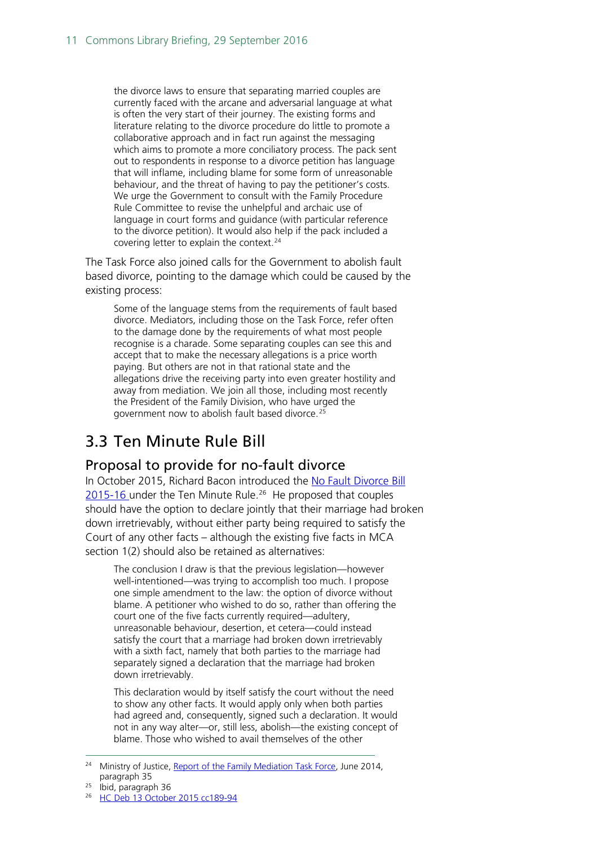the divorce laws to ensure that separating married couples are currently faced with the arcane and adversarial language at what is often the very start of their journey. The existing forms and literature relating to the divorce procedure do little to promote a collaborative approach and in fact run against the messaging which aims to promote a more conciliatory process. The pack sent out to respondents in response to a divorce petition has language that will inflame, including blame for some form of unreasonable behaviour, and the threat of having to pay the petitioner's costs. We urge the Government to consult with the Family Procedure Rule Committee to revise the unhelpful and archaic use of language in court forms and guidance (with particular reference to the divorce petition). It would also help if the pack included a covering letter to explain the context.<sup>[24](#page-10-2)</sup>

The Task Force also joined calls for the Government to abolish fault based divorce, pointing to the damage which could be caused by the existing process:

Some of the language stems from the requirements of fault based divorce. Mediators, including those on the Task Force, refer often to the damage done by the requirements of what most people recognise is a charade. Some separating couples can see this and accept that to make the necessary allegations is a price worth paying. But others are not in that rational state and the allegations drive the receiving party into even greater hostility and away from mediation. We join all those, including most recently the President of the Family Division, who have urged the government now to abolish fault based divorce.[25](#page-10-3)

### <span id="page-10-0"></span>3.3 Ten Minute Rule Bill

#### <span id="page-10-1"></span>Proposal to provide for no-fault divorce

In October 2015, Richard Bacon introduced the [No Fault Divorce Bill](http://services.parliament.uk/bills/2015-16/nofaultdivorce.html)  [2015-16](http://services.parliament.uk/bills/2015-16/nofaultdivorce.html) under the Ten Minute Rule. [26](#page-10-4) He proposed that couples should have the option to declare jointly that their marriage had broken down irretrievably, without either party being required to satisfy the Court of any other facts – although the existing five facts in MCA section 1(2) should also be retained as alternatives:

The conclusion I draw is that the previous legislation—however well-intentioned—was trying to accomplish too much. I propose one simple amendment to the law: the option of divorce without blame. A petitioner who wished to do so, rather than offering the court one of the five facts currently required—adultery, unreasonable behaviour, desertion, et cetera—could instead satisfy the court that a marriage had broken down irretrievably with a sixth fact, namely that both parties to the marriage had separately signed a declaration that the marriage had broken down irretrievably.

This declaration would by itself satisfy the court without the need to show any other facts. It would apply only when both parties had agreed and, consequently, signed such a declaration. It would not in any way alter—or, still less, abolish—the existing concept of blame. Those who wished to avail themselves of the other

<span id="page-10-2"></span><sup>&</sup>lt;sup>24</sup> Ministry of Justice[, Report of the Family Mediation Task Force,](http://www.familylaw.co.uk/system/redactor_assets/documents/752/family-mediation-task-force-report.pdf) June 2014, paragraph 35

<span id="page-10-3"></span><sup>25</sup> Ibid, paragraph 36

<span id="page-10-4"></span><sup>&</sup>lt;sup>26</sup> [HC Deb 13 October 2015 cc189-94](http://www.publications.parliament.uk/pa/cm201516/cmhansrd/cm151013/debtext/151013-0002.htm#15101362000001)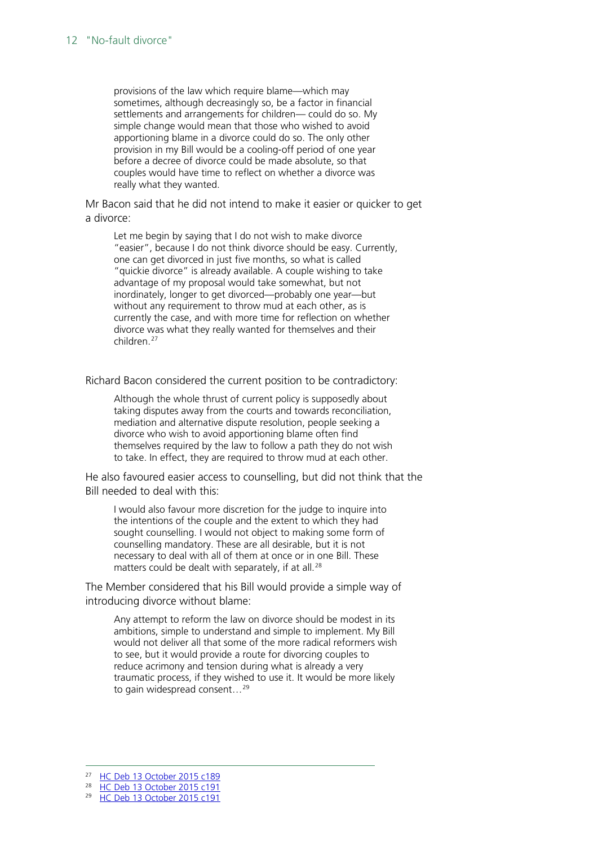provisions of the law which require blame—which may sometimes, although decreasingly so, be a factor in financial settlements and arrangements for children— could do so. My simple change would mean that those who wished to avoid apportioning blame in a divorce could do so. The only other provision in my Bill would be a cooling-off period of one year before a decree of divorce could be made absolute, so that couples would have time to reflect on whether a divorce was really what they wanted.

Mr Bacon said that he did not intend to make it easier or quicker to get a divorce:

Let me begin by saying that I do not wish to make divorce "easier", because I do not think divorce should be easy. Currently, one can get divorced in just five months, so what is called "quickie divorce" is already available. A couple wishing to take advantage of my proposal would take somewhat, but not inordinately, longer to get divorced—probably one year—but without any requirement to throw mud at each other, as is currently the case, and with more time for reflection on whether divorce was what they really wanted for themselves and their children.[27](#page-11-0)

Richard Bacon considered the current position to be contradictory:

Although the whole thrust of current policy is supposedly about taking disputes away from the courts and towards reconciliation, mediation and alternative dispute resolution, people seeking a divorce who wish to avoid apportioning blame often find themselves required by the law to follow a path they do not wish to take. In effect, they are required to throw mud at each other.

He also favoured easier access to counselling, but did not think that the Bill needed to deal with this:

I would also favour more discretion for the judge to inquire into the intentions of the couple and the extent to which they had sought counselling. I would not object to making some form of counselling mandatory. These are all desirable, but it is not necessary to deal with all of them at once or in one Bill. These matters could be dealt with separately, if at all.<sup>[28](#page-11-1)</sup>

The Member considered that his Bill would provide a simple way of introducing divorce without blame:

Any attempt to reform the law on divorce should be modest in its ambitions, simple to understand and simple to implement. My Bill would not deliver all that some of the more radical reformers wish to see, but it would provide a route for divorcing couples to reduce acrimony and tension during what is already a very traumatic process, if they wished to use it. It would be more likely to gain widespread consent...<sup>[29](#page-11-2)</sup>

<span id="page-11-1"></span><span id="page-11-0"></span> <sup>27</sup> [HC Deb 13 October 2015 c189](http://www.publications.parliament.uk/pa/cm201516/cmhansrd/cm151013/debtext/151013-0002.htm#15101362000001)

<sup>28</sup> [HC Deb 13 October 2015 c191](http://www.publications.parliament.uk/pa/cm201516/cmhansrd/cm151013/debtext/151013-0002.htm#15101362000001)

<span id="page-11-2"></span><sup>&</sup>lt;sup>29</sup> [HC Deb 13 October 2015 c191](http://www.publications.parliament.uk/pa/cm201516/cmhansrd/cm151013/debtext/151013-0002.htm#15101362000001)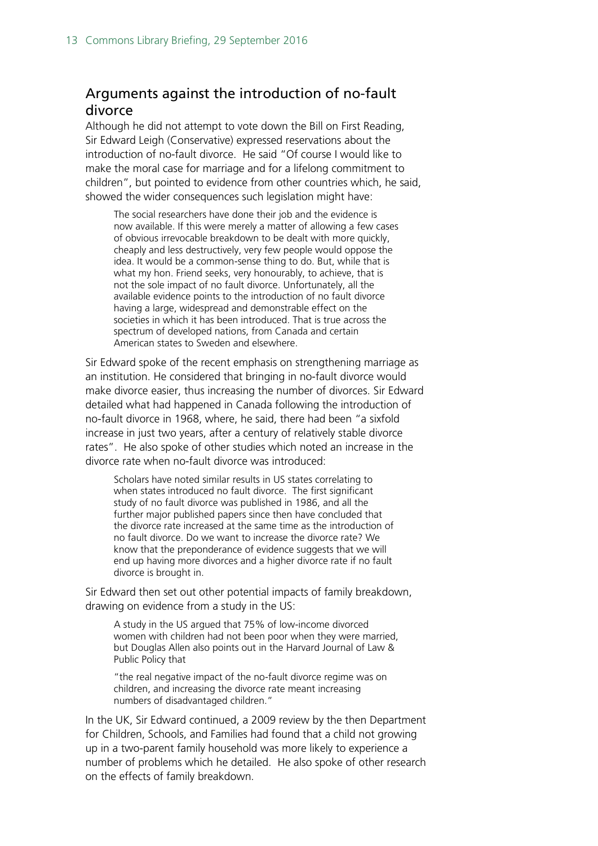#### <span id="page-12-0"></span>Arguments against the introduction of no-fault divorce

Although he did not attempt to vote down the Bill on First Reading, Sir Edward Leigh (Conservative) expressed reservations about the introduction of no-fault divorce. He said "Of course I would like to make the moral case for marriage and for a lifelong commitment to children", but pointed to evidence from other countries which, he said, showed the wider consequences such legislation might have:

The social researchers have done their job and the evidence is now available. If this were merely a matter of allowing a few cases of obvious irrevocable breakdown to be dealt with more quickly, cheaply and less destructively, very few people would oppose the idea. It would be a common-sense thing to do. But, while that is what my hon. Friend seeks, very honourably, to achieve, that is not the sole impact of no fault divorce. Unfortunately, all the available evidence points to the introduction of no fault divorce having a large, widespread and demonstrable effect on the societies in which it has been introduced. That is true across the spectrum of developed nations, from Canada and certain American states to Sweden and elsewhere.

Sir Edward spoke of the recent emphasis on strengthening marriage as an institution. He considered that bringing in no-fault divorce would make divorce easier, thus increasing the number of divorces. Sir Edward detailed what had happened in Canada following the introduction of no-fault divorce in 1968, where, he said, there had been "a sixfold increase in just two years, after a century of relatively stable divorce rates". He also spoke of other studies which noted an increase in the divorce rate when no-fault divorce was introduced:

Scholars have noted similar results in US states correlating to when states introduced no fault divorce. The first significant study of no fault divorce was published in 1986, and all the further major published papers since then have concluded that the divorce rate increased at the same time as the introduction of no fault divorce. Do we want to increase the divorce rate? We know that the preponderance of evidence suggests that we will end up having more divorces and a higher divorce rate if no fault divorce is brought in.

Sir Edward then set out other potential impacts of family breakdown, drawing on evidence from a study in the US:

A study in the US argued that 75% of low-income divorced women with children had not been poor when they were married, but Douglas Allen also points out in the Harvard Journal of Law & Public Policy that

"the real negative impact of the no-fault divorce regime was on children, and increasing the divorce rate meant increasing numbers of disadvantaged children."

In the UK, Sir Edward continued, a 2009 review by the then Department for Children, Schools, and Families had found that a child not growing up in a two-parent family household was more likely to experience a number of problems which he detailed. He also spoke of other research on the effects of family breakdown.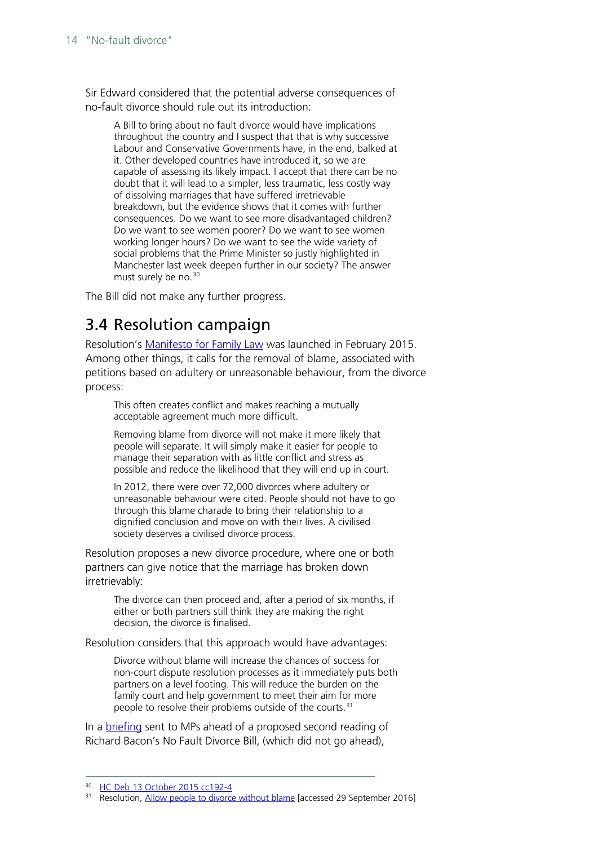Sir Edward considered that the potential adverse consequences of no-fault divorce should rule out its introduction:

A Bill to bring about no fault divorce would have implications throughout the country and I suspect that that is why successive Labour and Conservative Governments have, in the end, balked at it. Other developed countries have introduced it, so we are capable of assessing its likely impact. I accept that there can be no doubt that it will lead to a simpler, less traumatic, less costly way of dissolving marriages that have suffered irretrievable breakdown, but the evidence shows that it comes with further consequences. Do we want to see more disadvantaged children? Do we want to see women poorer? Do we want to see women working longer hours? Do we want to see the wide variety of social problems that the Prime Minister so justly highlighted in Manchester last week deepen further in our society? The answer must surely be no.<sup>[30](#page-13-1)</sup>

The Bill did not make any further progress.

### <span id="page-13-0"></span>3.4 Resolution campaign

Resolution's **Manifesto for Family Law** was launched in February 2015. Among other things, it calls for the removal of blame, associated with petitions based on adultery or unreasonable behaviour, from the divorce process:

This often creates conflict and makes reaching a mutually acceptable agreement much more difficult.

Removing blame from divorce will not make it more likely that people will separate. It will simply make it easier for people to manage their separation with as little conflict and stress as possible and reduce the likelihood that they will end up in court.

In 2012, there were over 72,000 divorces where adultery or unreasonable behaviour were cited. People should not have to go through this blame charade to bring their relationship to a dignified conclusion and move on with their lives. A civilised society deserves a civilised divorce process.

Resolution proposes a new divorce procedure, where one or both partners can give notice that the marriage has broken down irretrievably:

The divorce can then proceed and, after a period of six months, if either or both partners still think they are making the right decision, the divorce is finalised.

Resolution considers that this approach would have advantages:

Divorce without blame will increase the chances of success for non-court dispute resolution processes as it immediately puts both partners on a level footing. This will reduce the burden on the family court and help government to meet their aim for more people to resolve their problems outside of the courts.<sup>[31](#page-13-2)</sup>

In a [briefing](http://www.resolution.org.uk/site_content_files/files/resolution_briefing_no_fault_divorce_bill_hc_2r_december_2015.pdf) sent to MPs ahead of a proposed second reading of Richard Bacon's No Fault Divorce Bill, (which did not go ahead),

<span id="page-13-1"></span> <sup>30</sup> [HC Deb 13 October 2015 cc192-4](http://www.publications.parliament.uk/pa/cm201516/cmhansrd/cm151013/debtext/151013-0002.htm#15101362000001)

<span id="page-13-2"></span><sup>&</sup>lt;sup>31</sup> Resolution, [Allow people to divorce without blame](http://www.resolution.org.uk/editorial.asp?page_id=984&displayMode=preview) [accessed 29 September 2016]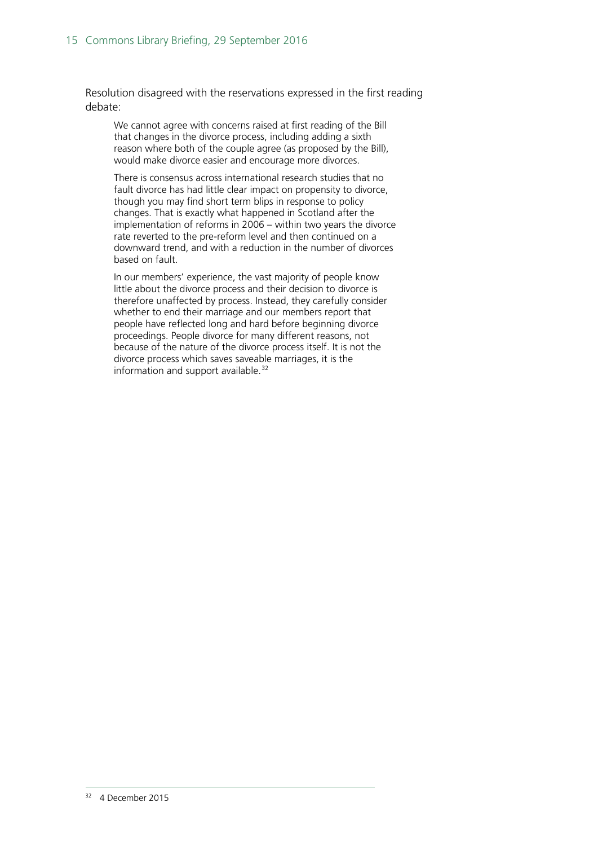Resolution disagreed with the reservations expressed in the first reading debate:

We cannot agree with concerns raised at first reading of the Bill that changes in the divorce process, including adding a sixth reason where both of the couple agree (as proposed by the Bill), would make divorce easier and encourage more divorces.

There is consensus across international research studies that no fault divorce has had little clear impact on propensity to divorce, though you may find short term blips in response to policy changes. That is exactly what happened in Scotland after the implementation of reforms in 2006 – within two years the divorce rate reverted to the pre-reform level and then continued on a downward trend, and with a reduction in the number of divorces based on fault.

<span id="page-14-0"></span>In our members' experience, the vast majority of people know little about the divorce process and their decision to divorce is therefore unaffected by process. Instead, they carefully consider whether to end their marriage and our members report that people have reflected long and hard before beginning divorce proceedings. People divorce for many different reasons, not because of the nature of the divorce process itself. It is not the divorce process which saves saveable marriages, it is the information and support available.<sup>[32](#page-14-0)</sup>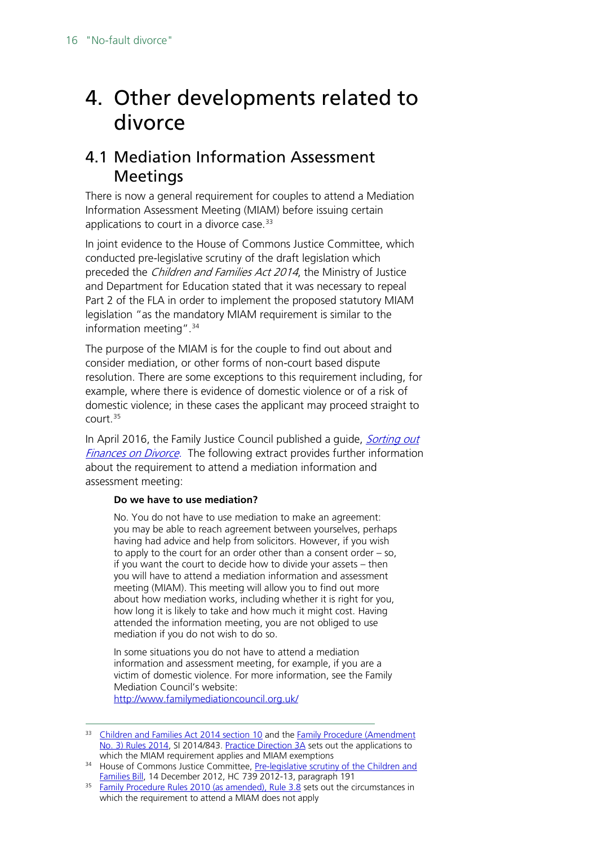## <span id="page-15-0"></span>4. Other developments related to divorce

### <span id="page-15-1"></span>4.1 Mediation Information Assessment **Meetings**

There is now a general requirement for couples to attend a Mediation Information Assessment Meeting (MIAM) before issuing certain applications to court in a divorce case.<sup>[33](#page-15-2)</sup>

In joint evidence to the House of Commons Justice Committee, which conducted pre-legislative scrutiny of the draft legislation which preceded the *Children and Families Act 2014*, the Ministry of Justice and Department for Education stated that it was necessary to repeal Part 2 of the FLA in order to implement the proposed statutory MIAM legislation "as the mandatory MIAM requirement is similar to the information meeting".[34](#page-15-3)

The purpose of the MIAM is for the couple to find out about and consider mediation, or other forms of non-court based dispute resolution. There are some exceptions to this requirement including, for example, where there is evidence of domestic violence or of a risk of domestic violence; in these cases the applicant may proceed straight to court. [35](#page-15-4)

In April 2016, the Family Justice Council published a quide, *Sorting out* [Finances on Divorce.](https://www.judiciary.gov.uk/wp-content/uploads/2016/04/fjc-financial-needs-april-16-final.pdf) The following extract provides further information about the requirement to attend a mediation information and assessment meeting:

#### **Do we have to use mediation?**

No. You do not have to use mediation to make an agreement: you may be able to reach agreement between yourselves, perhaps having had advice and help from solicitors. However, if you wish to apply to the court for an order other than a consent order – so, if you want the court to decide how to divide your assets – then you will have to attend a mediation information and assessment meeting (MIAM). This meeting will allow you to find out more about how mediation works, including whether it is right for you, how long it is likely to take and how much it might cost. Having attended the information meeting, you are not obliged to use mediation if you do not wish to do so.

In some situations you do not have to attend a mediation information and assessment meeting, for example, if you are a victim of domestic violence. For more information, see the Family Mediation Council's website:

<http://www.familymediationcouncil.org.uk/>

<span id="page-15-2"></span><sup>&</sup>lt;sup>33</sup> [Children and Families Act 2014](http://www.legislation.gov.uk/ukpga/2014/6/contents) section 10 and the Family Procedure (Amendment [No. 3\) Rules 2014,](http://www.legislation.gov.uk/uksi/2014/843/contents/made) SI 2014/843. [Practice Direction 3A](https://www.justice.gov.uk/courts/procedure-rules/family/practice_directions/pd_part_03a#para11) sets out the applications to which the MIAM requirement applies and MIAM exemptions

<span id="page-15-3"></span><sup>&</sup>lt;sup>34</sup> House of Commons Justice Committee, Pre-legislative scrutiny of the Children and [Families Bill,](http://www.publications.parliament.uk/pa/cm201213/cmselect/cmjust/739/739.pdf) 14 December 2012, HC 739 2012-13, paragraph 191

<span id="page-15-4"></span><sup>&</sup>lt;sup>35</sup> [Family Procedure Rules 2010 \(as amended\), Rule 3.8](https://www.justice.gov.uk/courts/procedure-rules/family/parts/part_03) sets out the circumstances in which the requirement to attend a MIAM does not apply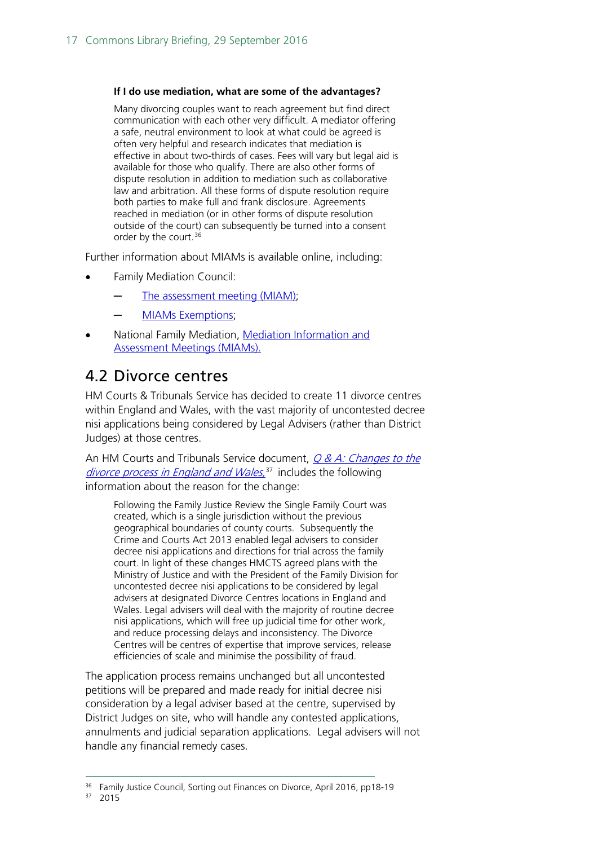#### **If I do use mediation, what are some of the advantages?**

Many divorcing couples want to reach agreement but find direct communication with each other very difficult. A mediator offering a safe, neutral environment to look at what could be agreed is often very helpful and research indicates that mediation is effective in about two-thirds of cases. Fees will vary but legal aid is available for those who qualify. There are also other forms of dispute resolution in addition to mediation such as collaborative law and arbitration. All these forms of dispute resolution require both parties to make full and frank disclosure. Agreements reached in mediation (or in other forms of dispute resolution outside of the court) can subsequently be turned into a consent order by the court. [36](#page-16-1)

Further information about MIAMs is available online, including:

- Family Mediation Council:
	- [The assessment meeting \(MIAM\);](http://www.familymediationcouncil.org.uk/family-mediation/assessment-meeting-miam/)
	- [MIAMs Exemptions;](http://www.familymediationcouncil.org.uk/family-mediation/assessment-meeting-miam/miams-exemptions/)
- National Family Mediation, Mediation Information and [Assessment Meetings \(MIAMs\).](http://www.nfm.org.uk/images/pdfs/MIAMsA4mar2014Web.pdf)

### <span id="page-16-0"></span>4.2 Divorce centres

HM Courts & Tribunals Service has decided to create 11 divorce centres within England and Wales, with the vast majority of uncontested decree nisi applications being considered by Legal Advisers (rather than District Judges) at those centres.

An HM Courts and Tribunals Service document,  $Q & A$ : Changes to the [divorce process in England and Wales,](http://www.familylaw.co.uk/system/redactor_assets/documents/3019/National_QA_.doc)<sup>[37](#page-16-2)</sup> includes the following information about the reason for the change:

Following the Family Justice Review the Single Family Court was created, which is a single jurisdiction without the previous geographical boundaries of county courts. Subsequently the Crime and Courts Act 2013 enabled legal advisers to consider decree nisi applications and directions for trial across the family court. In light of these changes HMCTS agreed plans with the Ministry of Justice and with the President of the Family Division for uncontested decree nisi applications to be considered by legal advisers at designated Divorce Centres locations in England and Wales. Legal advisers will deal with the majority of routine decree nisi applications, which will free up judicial time for other work, and reduce processing delays and inconsistency. The Divorce Centres will be centres of expertise that improve services, release efficiencies of scale and minimise the possibility of fraud.

The application process remains unchanged but all uncontested petitions will be prepared and made ready for initial decree nisi consideration by a legal adviser based at the centre, supervised by District Judges on site, who will handle any contested applications, annulments and judicial separation applications. Legal advisers will not handle any financial remedy cases.

<span id="page-16-2"></span><span id="page-16-1"></span><sup>&</sup>lt;sup>36</sup> Family Justice Council, Sorting out Finances on Divorce, April 2016, pp18-19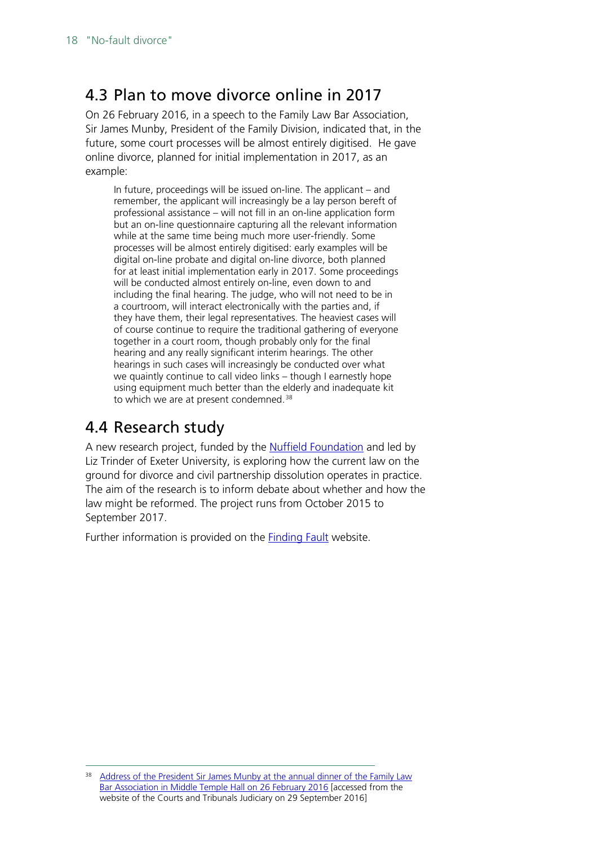### <span id="page-17-0"></span>4.3 Plan to move divorce online in 2017

On 26 February 2016, in a speech to the Family Law Bar Association, Sir James Munby, President of the Family Division, indicated that, in the future, some court processes will be almost entirely digitised. He gave online divorce, planned for initial implementation in 2017, as an example:

In future, proceedings will be issued on-line. The applicant – and remember, the applicant will increasingly be a lay person bereft of professional assistance – will not fill in an on-line application form but an on-line questionnaire capturing all the relevant information while at the same time being much more user-friendly. Some processes will be almost entirely digitised: early examples will be digital on-line probate and digital on-line divorce, both planned for at least initial implementation early in 2017. Some proceedings will be conducted almost entirely on-line, even down to and including the final hearing. The judge, who will not need to be in a courtroom, will interact electronically with the parties and, if they have them, their legal representatives. The heaviest cases will of course continue to require the traditional gathering of everyone together in a court room, though probably only for the final hearing and any really significant interim hearings. The other hearings in such cases will increasingly be conducted over what we quaintly continue to call video links – though I earnestly hope using equipment much better than the elderly and inadequate kit to which we are at present condemned.<sup>[38](#page-17-2)</sup>

#### <span id="page-17-1"></span>4.4 Research study

A new research project, funded by the [Nuffield Foundation](http://www.nuffieldfoundation.org/finding-fault-divorce-law-practice-england-and-wales) and led by Liz Trinder of Exeter University, is exploring how the current law on the ground for divorce and civil partnership dissolution operates in practice. The aim of the research is to inform debate about whether and how the law might be reformed. The project runs from October 2015 to September 2017.

Further information is provided on the [Finding Fault](http://findingfault.org.uk/) website.

<span id="page-17-2"></span>Address of the President Sir James Munby at the annual dinner of the Family Law [Bar Association in Middle Temple Hall on 26 February 2016](https://www.judiciary.gov.uk/wp-content/uploads/2016/02/pfd-speech-family-law-bar-assoc-2016.pdf) [accessed from the website of the Courts and Tribunals Judiciary on 29 September 2016]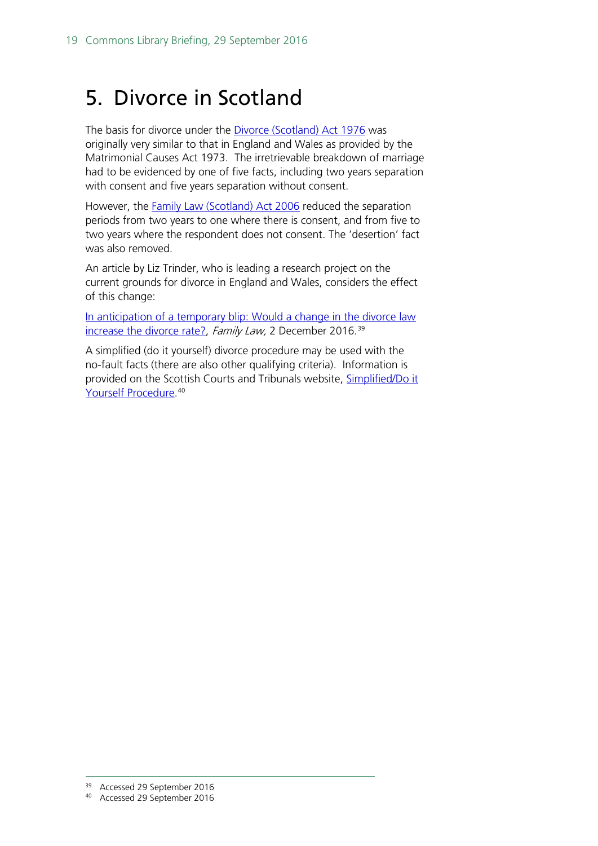## <span id="page-18-0"></span>5. Divorce in Scotland

The basis for divorce under the [Divorce \(Scotland\)](http://www.legislation.gov.uk/ukpga/1976/39/section/1) Act 1976 was originally very similar to that in England and Wales as provided by the Matrimonial Causes Act 1973. The irretrievable breakdown of marriage had to be evidenced by one of five facts, including two years separation with consent and five years separation without consent.

However, the Family Law [\(Scotland\)](http://www.legislation.gov.uk/asp/2006/2/crossheading/divorce) Act 2006 reduced the separation periods from two years to one where there is consent, and from five to two years where the respondent does not consent. The 'desertion' fact was also removed.

An article by Liz Trinder, who is leading a research project on the current grounds for divorce in England and Wales, considers the effect of this change:

In anticipation of a temporary blip: Would a change in the divorce law [increase the divorce rate?,](http://www.familylaw.co.uk/news_and_comment/in-anticipation-of-a-temporary-blip-would-a-change-in-the-divorce-law-increase-the-divorce-rate#.V-vfv8qV9Fp) Family Law, 2 December 2016.<sup>[39](#page-18-1)</sup>

A simplified (do it yourself) divorce procedure may be used with the no-fault facts (there are also other qualifying criteria). Information is provided on the Scottish Courts and Tribunals website, Simplified/Do it [Yourself Procedure.](https://www.scotcourts.gov.uk/taking-action/divorce-and-dissolution-of-civil-partnership/simplified-do-it-yourself-procedure) [40](#page-18-2)

 <sup>39</sup> Accessed 29 September 2016

<span id="page-18-2"></span><span id="page-18-1"></span><sup>40</sup> Accessed 29 September 2016